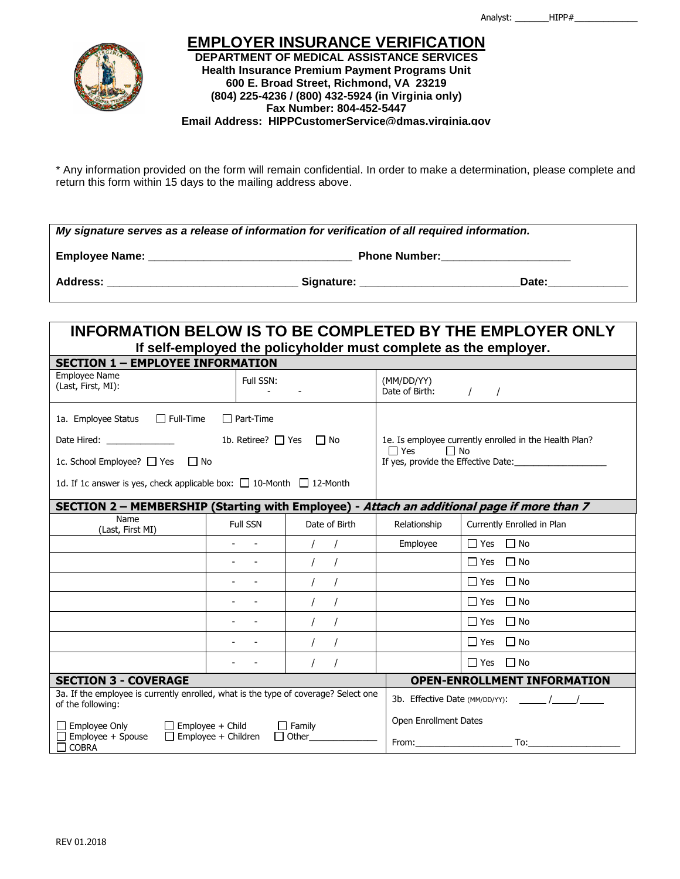

## **EMPLOYER INSURANCE VERIFICATION DEPARTMENT OF MEDICAL ASSISTANCE SERVICES Health Insurance Premium Payment Programs Unit 600 E. Broad Street, Richmond, VA 23219 (804) 225-4236 / (800) 432-5924 (in Virginia only) Fax Number: 804-452-5447 Email Address: HIPPCustomerService@dmas.virginia.gov**

\* Any information provided on the form will remain confidential. In order to make a determination, please complete and return this form within 15 days to the mailing address above.

| My signature serves as a release of information for verification of all required information. |                      |  |  |  |  |  |
|-----------------------------------------------------------------------------------------------|----------------------|--|--|--|--|--|
| <b>Employee Name:</b>                                                                         | <b>Phone Number:</b> |  |  |  |  |  |
| <b>Address:</b>                                                                               | Signature:<br>Date:  |  |  |  |  |  |

## **INFORMATION BELOW IS TO BE COMPLETED BY THE EMPLOYER ONLY If self-employed the policyholder must complete as the employer. SECTION 1 – EMPLOYEE INFORMATION** Employee Name Employee ivalue<br>(Last, First, MI): Full SSN: - - (MM/DD/YY) Date of Birth:  $\frac{1}{2}$  / 1a. Employee Status  $\Box$  Full-Time  $\Box$  Part-Time Date Hired:  $\Box$  No  $\Box$  No  $\Box$  No  $\Box$  No  $\Box$  No  $\Box$  No  $\Box$  No  $\Box$  No  $\Box$  No  $\Box$  No  $\Box$  No  $\Box$  No  $\Box$  No  $\Box$  No  $\Box$  No  $\Box$  No  $\Box$  No  $\Box$  No  $\Box$  No  $\Box$  No  $\Box$  No  $\Box$  No  $\Box$  No  $\Box$  No  $\Box$  No  $\Box$  No 1c. School Employee?  $\Box$  Yes  $\Box$  No 1d. If 1c answer is yes, check applicable box:  $\Box$  10-Month  $\Box$  12-Month 1e. Is employee currently enrolled in the Health Plan?  $\Box$  Yes  $\Box$  No If yes, provide the Effective Date: **SECTION 2 – MEMBERSHIP (Starting with Employee) - Attach an additional page if more than 7** Name<br>(Last, First MI) Full SSN | Date of Birth | Relationship | Currently Enrolled in Plan - - / / Employee Yes No - | / / | │ │ │ │ │ Yes □ No - - | / / | | | | | | Yes □ No - - / / Yes No - - / / Yes No - - / / Yes No - - | / / | │ │ │ │ │ Yes □ No **SECTION 3 - COVERAGE OPEN-ENROLLMENT INFORMATION** 3a. If the employee is currently enrolled, what is the type of coverage? Select one of the following:  $\Box$  Employee Only  $\Box$  Employee + Child  $\Box$  Family  $\square$  Employee + Spouse  $\square$  Employee + Children  $\square$  Other  $\Box$  COBRA 3b. Effective Date (MM/DD/YY): / / Open Enrollment Dates From: To: